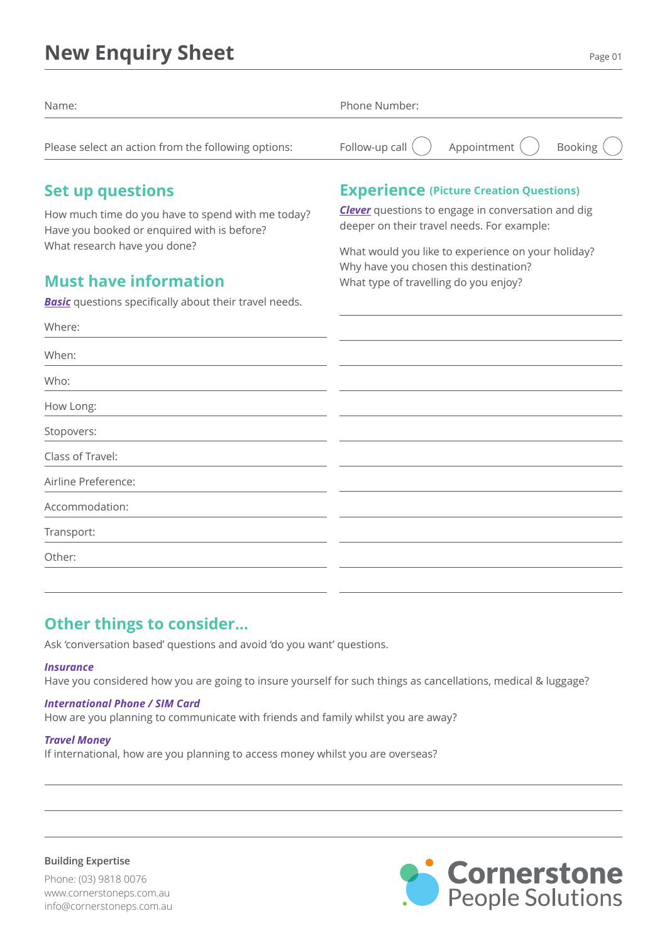## **New Enquiry Sheet**

| Name:                                               | Phone Number: |                                                                                 |  |
|-----------------------------------------------------|---------------|---------------------------------------------------------------------------------|--|
| Please select an action from the following options: |               | Follow-up call $\binom{1}{1}$ Appointment $\binom{1}{1}$ Booking $\binom{1}{1}$ |  |

## **Set up questions**

How much time do you have to spend with me today? Have you booked or enquired with is before? What research have you done?

## **Must have information**

*Basic* questions specifically about their travel needs.

### **Experience (Picture Creation Questions)**

*Clever* questions to engage in conversation and dig deeper on their travel needs. For example:

What would you like to experience on your holiday? Why have you chosen this destination? What type of travelling do you enjoy?

| Where:              |  |
|---------------------|--|
| When:               |  |
| Who:                |  |
| How Long:           |  |
| Stopovers:          |  |
| Class of Travel:    |  |
| Airline Preference: |  |
| Accommodation:      |  |
| Transport:          |  |
| Other:              |  |
|                     |  |

## **Other things to consider...**

Ask 'conversation based' questions and avoid 'do you want' questions.

#### *Insurance*

Have you considered how you are going to insure yourself for such things as cancellations, medical & luggage?

#### *International Phone / SIM Card*

How are you planning to communicate with friends and family whilst you are away?

#### *Travel Money*

If international, how are you planning to access money whilst you are overseas?

**Building Expertise**